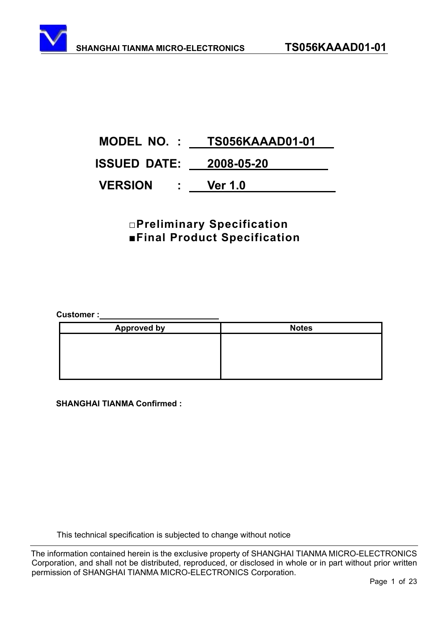# **MODEL NO. : TS056KAAAD01-01 ISSUED DATE: 2008-05-20 VERSION : Ver 1.0**

### **ƑPreliminary Specification**   $\blacksquare$ **Final Product Specification**

Customer :\_\_\_

| <b>Approved by</b> | <b>Notes</b> |
|--------------------|--------------|
|                    |              |
|                    |              |
|                    |              |
|                    |              |

 **SHANGHAI TIANMA Confirmed :** 

This technical specification is subjected to change without notice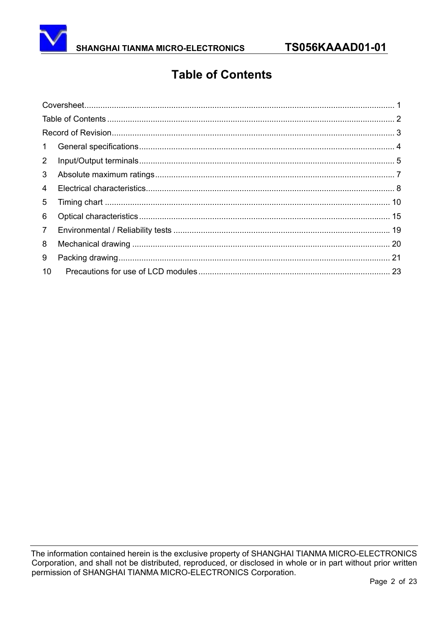

## **Table of Contents**

| $\mathbf{1}$   |  |
|----------------|--|
| $2^{\circ}$    |  |
| 3 <sup>1</sup> |  |
| 4              |  |
| 5              |  |
| 6              |  |
| 7 <sup>7</sup> |  |
| 8              |  |
| 9              |  |
| 10             |  |
|                |  |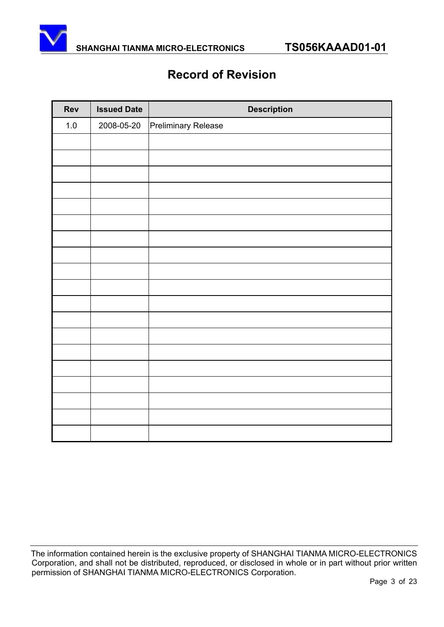

### **Record of Revision**

| <b>Rev</b> | <b>Issued Date</b> | <b>Description</b>  |
|------------|--------------------|---------------------|
| $1.0\,$    | 2008-05-20         | Preliminary Release |
|            |                    |                     |
|            |                    |                     |
|            |                    |                     |
|            |                    |                     |
|            |                    |                     |
|            |                    |                     |
|            |                    |                     |
|            |                    |                     |
|            |                    |                     |
|            |                    |                     |
|            |                    |                     |
|            |                    |                     |
|            |                    |                     |
|            |                    |                     |
|            |                    |                     |
|            |                    |                     |
|            |                    |                     |
|            |                    |                     |
|            |                    |                     |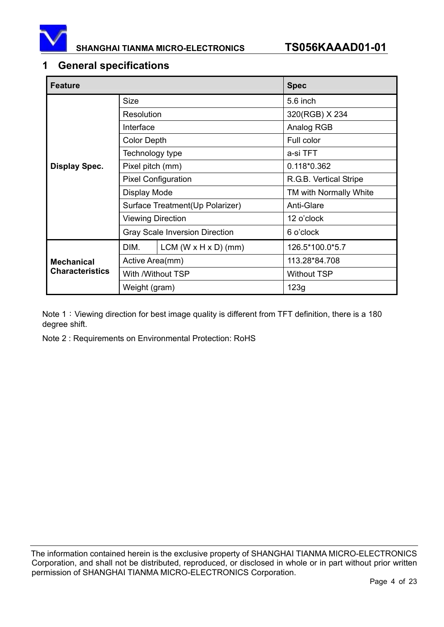

#### **1 General specifications**

| <b>Feature</b>         |                            |                                       | <b>Spec</b>            |  |
|------------------------|----------------------------|---------------------------------------|------------------------|--|
|                        | <b>Size</b>                |                                       | 5.6 inch               |  |
|                        | Resolution                 |                                       | 320(RGB) X 234         |  |
|                        | Interface                  |                                       | Analog RGB             |  |
|                        | <b>Color Depth</b>         |                                       | Full color             |  |
|                        | Technology type            |                                       | a-si TFT               |  |
| <b>Display Spec.</b>   | Pixel pitch (mm)           |                                       | 0.118*0.362            |  |
|                        | <b>Pixel Configuration</b> |                                       | R.G.B. Vertical Stripe |  |
|                        | Display Mode               |                                       | TM with Normally White |  |
|                        |                            | Surface Treatment(Up Polarizer)       | Anti-Glare             |  |
|                        | <b>Viewing Direction</b>   |                                       | 12 o'clock             |  |
|                        |                            | <b>Gray Scale Inversion Direction</b> | 6 o'clock              |  |
|                        | DIM.                       | LCM (W $\times$ H $\times$ D) (mm)    | 126.5*100.0*5.7        |  |
| <b>Mechanical</b>      | Active Area(mm)            |                                       | 113.28*84.708          |  |
| <b>Characteristics</b> | With /Without TSP          |                                       | <b>Without TSP</b>     |  |
|                        | Weight (gram)              |                                       | 123g                   |  |

Note 1: Viewing direction for best image quality is different from TFT definition, there is a 180 degree shift.

Note 2 : Requirements on Environmental Protection: RoHS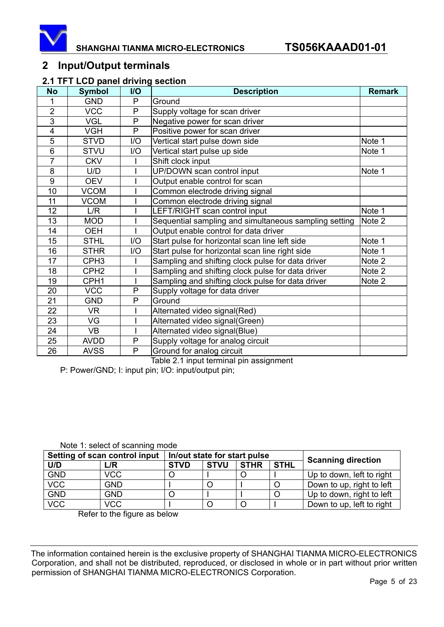

#### **2 Input/Output terminals**

#### **2.1 TFT LCD panel driving section**

| <b>No</b>       | <b>Symbol</b>    | I/O | <b>Description</b>                                    | <b>Remark</b> |
|-----------------|------------------|-----|-------------------------------------------------------|---------------|
| 1               | <b>GND</b>       | P   | Ground                                                |               |
| $\overline{2}$  | <b>VCC</b>       | P   | Supply voltage for scan driver                        |               |
| 3               | <b>VGL</b>       | P   | Negative power for scan driver                        |               |
| $\overline{4}$  | <b>VGH</b>       | P   | Positive power for scan driver                        |               |
| 5               | <b>STVD</b>      | I/O | Vertical start pulse down side                        | Note 1        |
| 6               | <b>STVU</b>      | 1/O | Vertical start pulse up side                          | Note 1        |
| $\overline{7}$  | <b>CKV</b>       |     | Shift clock input                                     |               |
| 8               | U/D              |     | UP/DOWN scan control input                            | Note 1        |
| 9               | <b>OEV</b>       |     | Output enable control for scan                        |               |
| 10              | <b>VCOM</b>      |     | Common electrode driving signal                       |               |
| 11              | <b>VCOM</b>      |     | Common electrode driving signal                       |               |
| 12              | L/R              |     | LEFT/RIGHT scan control input                         | Note 1        |
| 13              | <b>MOD</b>       |     | Sequential sampling and simultaneous sampling setting | Note 2        |
| 14              | <b>OEH</b>       |     | Output enable control for data driver                 |               |
| 15              | <b>STHL</b>      | I/O | Start pulse for horizontal scan line left side        | Note 1        |
| 16              | <b>STHR</b>      | 1/O | Start pulse for horizontal scan line right side       | Note 1        |
| $\overline{17}$ | CPH <sub>3</sub> |     | Sampling and shifting clock pulse for data driver     | Note 2        |
| 18              | CPH <sub>2</sub> |     | Sampling and shifting clock pulse for data driver     | Note 2        |
| 19              | CPH <sub>1</sub> |     | Sampling and shifting clock pulse for data driver     | Note 2        |
| 20              | <b>VCC</b>       | P   | Supply voltage for data driver                        |               |
| 21              | <b>GND</b>       | P   | Ground                                                |               |
| 22              | VR               |     | Alternated video signal(Red)                          |               |
| 23              | VG               |     | Alternated video signal(Green)                        |               |
| 24              | <b>VB</b>        |     | Alternated video signal(Blue)                         |               |
| 25              | <b>AVDD</b>      | P   | Supply voltage for analog circuit                     |               |
| 26              | <b>AVSS</b>      | P   | Ground for analog circuit                             |               |

Table 2.1 input terminal pin assignment

P: Power/GND; I: input pin; I/O: input/output pin;

| Setting of scan control input | In/out state for start pulse |             |             |             |             |                           |  |  |
|-------------------------------|------------------------------|-------------|-------------|-------------|-------------|---------------------------|--|--|
| U/D                           | L/R                          | <b>STVD</b> | <b>STVU</b> | <b>STHR</b> | <b>STHL</b> | <b>Scanning direction</b> |  |  |
| <b>GND</b>                    | <b>VCC</b>                   |             |             |             |             | Up to down, left to right |  |  |
| <b>VCC</b>                    | <b>GND</b>                   |             |             |             |             | Down to up, right to left |  |  |
| <b>GND</b>                    | <b>GND</b>                   |             |             |             |             | Up to down, right to left |  |  |
| <b>VCC</b>                    | <b>VCC</b>                   |             |             |             |             | Down to up, left to right |  |  |

Refer to the figure as below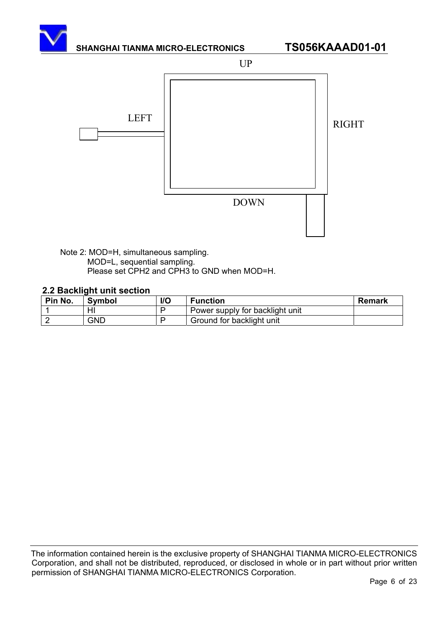

Note 2: MOD=H, simultaneous sampling. MOD=L, sequential sampling. Please set CPH2 and CPH3 to GND when MOD=H.

#### **2.2 Backlight unit section**

| Pin No. | <b>Symbol</b> | I/O | <b>Function</b>                 | <b>Remark</b> |
|---------|---------------|-----|---------------------------------|---------------|
|         | HI            |     | Power supply for backlight unit |               |
|         | GND           |     | Ground for backlight unit       |               |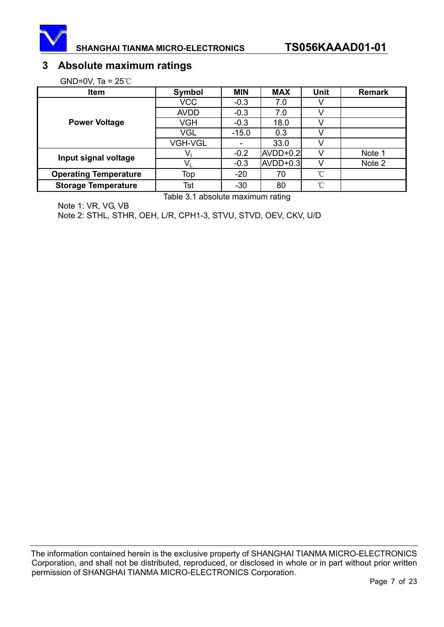

#### **3 Absolute maximum ratings**

GND=0V, Ta =  $25^{\circ}$ C

| <b>Item</b>                  | Symbol         | <b>MIN</b> | <b>MAX</b> | Unit | <b>Remark</b> |
|------------------------------|----------------|------------|------------|------|---------------|
|                              | <b>VCC</b>     | $-0.3$     | 7.0        |      |               |
|                              | <b>AVDD</b>    | $-0.3$     | 7.0        |      |               |
| <b>Power Voltage</b>         | VGH            | $-0.3$     | 18.0       |      |               |
|                              | VGL            | $-15.0$    | 0.3        |      |               |
|                              | <b>VGH-VGL</b> |            | 33.0       |      |               |
| Input signal voltage         | V              | $-0.2$     | AVDD+0.2   |      | Note 1        |
|                              | Vı             | $-0.3$     | AVDD+0.3   |      | Note 2        |
| <b>Operating Temperature</b> | Top            | $-20$      | 70         | °C   |               |
| <b>Storage Temperature</b>   | Tst            | $-30$      | 80         | °C   |               |

Table 3.1 absolute maximum rating

Note 1: VR, VG, VB

Note 2: STHL, STHR, OEH, L/R, CPH1-3, STVU, STVD, OEV, CKV, U/D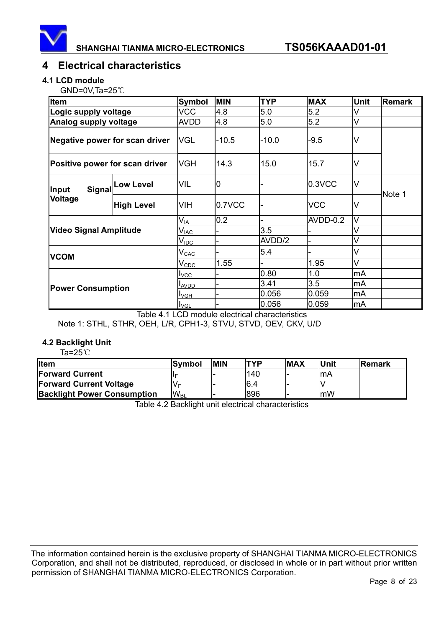

#### **4 Electrical characteristics**

#### **4.1 LCD module**

 $GND=0V$ ,Ta=25 $°C$ 

| <b>Item</b>                    |                         | <b>Symbol</b>               | <b>MIN</b> | <b>TYP</b> | <b>MAX</b> | <b>Unit</b> | <b>Remark</b> |  |
|--------------------------------|-------------------------|-----------------------------|------------|------------|------------|-------------|---------------|--|
| Logic supply voltage           |                         | <b>VCC</b>                  | 4.8        | 5.0        | 5.2        |             |               |  |
| Analog supply voltage          |                         | <b>AVDD</b>                 | 4.8        | 5.0        | 5.2        | V           |               |  |
| Negative power for scan driver |                         | <b>VGL</b>                  | $-10.5$    | $-10.0$    | $-9.5$     | V           |               |  |
| Positive power for scan driver |                         | <b>VGH</b>                  | 14.3       | 15.0       | 15.7       | V           |               |  |
| Signal<br><b>Input</b>         | <b>Low Level</b>        | VIL                         | O          |            | 0.3VCC     | M           | Note 1        |  |
| Voltage                        | <b>High Level</b>       | VIH                         | 0.7VCC     |            | <b>VCC</b> | V           |               |  |
|                                |                         | $\mathsf{V}_{\mathsf{IA}}$  | 0.2        |            | AVDD-0.2   | V           |               |  |
| <b>Video Signal Amplitude</b>  |                         | $\mathsf{V}_{\mathsf{IAC}}$ |            | 3.5        |            | V           |               |  |
|                                |                         | $\mathsf{V}_{\mathsf{IDC}}$ |            | AVDD/2     |            | V           |               |  |
| <b>VCOM</b>                    |                         | $\mathsf{V}_{\texttt{CAC}}$ |            | 5.4        |            | V           |               |  |
|                                |                         | $V_{CDC}$                   | 1.55       |            | 1.95       | V           |               |  |
|                                | <b>I</b> <sub>VCC</sub> |                             | 0.80       | 1.0        | mA         |             |               |  |
| <b>Power Consumption</b>       |                         | <b>LAVDD</b>                |            | 3.41       | 3.5        | mA          |               |  |
|                                |                         | $I_{VGH}$                   |            | 0.056      | 0.059      | mA          |               |  |
|                                |                         | $I_{\text{VGL}}$            |            | 0.056      | 0.059      | mA          |               |  |

Table 4.1 LCD module electrical characteristics Note 1: STHL, STHR, OEH, L/R, CPH1-3, STVU, STVD, OEV, CKV, U/D

#### **4.2 Backlight Unit**

Ta= $25^{\circ}$ C

| <b>I</b> Item                      | lSvmbol               | <b>MIN</b> | TYP  | <b>MAX</b> | Unit | Remark |
|------------------------------------|-----------------------|------------|------|------------|------|--------|
| <b>IForward Current</b>            |                       |            | 140  |            | ŀmA  |        |
| <b>Forward Current Voltage</b>     | Vг                    |            | 16.4 |            |      |        |
| <b>Backlight Power Consumption</b> | <b>W<sub>BL</sub></b> |            | 896  |            | mW   |        |

Table 4.2 Backlight unit electrical characteristics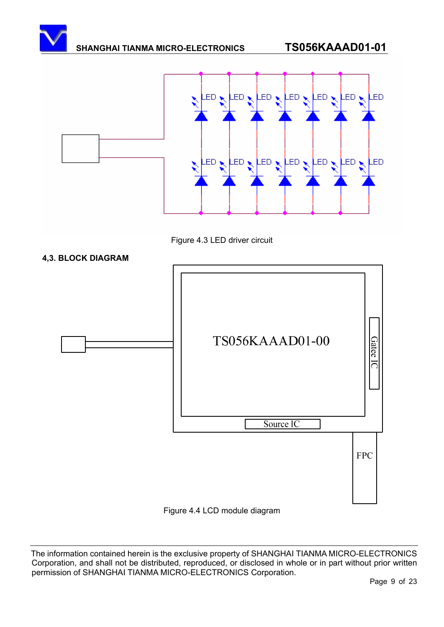





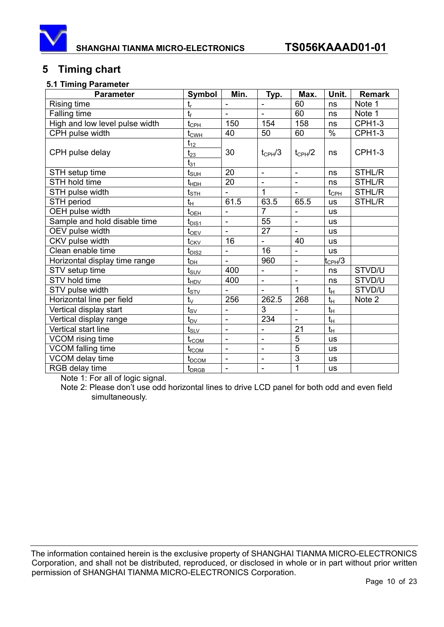

### **5 Timing chart**

#### **5.1 Timing Parameter**

| <b>Parameter</b>               | Symbol                           | Min.                     | Typ.                         | Max.                     | Unit.              | <b>Remark</b> |
|--------------------------------|----------------------------------|--------------------------|------------------------------|--------------------------|--------------------|---------------|
| Rising time                    | $t_{\sf r}$                      |                          |                              | 60                       | ns                 | Note 1        |
| Falling time                   | $t_{\rm f}$                      |                          |                              | 60                       | ns                 | Note 1        |
| High and low level pulse width | $t_{\rm CPL}$                    | 150                      | 154                          | 158                      | ns                 | <b>CPH1-3</b> |
| CPH pulse width                | $t_{\text{CWH}}$                 | 40                       | 50                           | 60                       | $\frac{8}{6}$      | <b>CPH1-3</b> |
| CPH pulse delay                | $t_{12}$<br>$t_{23}$<br>$t_{31}$ | 30                       | $t_{\rm CPH}/3$              | $t_{\text{CPH}}/2$       | ns                 | <b>CPH1-3</b> |
| STH setup time                 | $t_{\underline{{\sf SUH}}}$      | 20                       | $\overline{\phantom{a}}$     | $\qquad \qquad -$        | ns                 | STHL/R        |
| STH hold time                  | $t_{\scriptsize{\textrm{HDH}}}$  | 20                       | ä,                           | ÷,                       | ns                 | STHL/R        |
| STH pulse width                | $t_{\scriptstyle\text{STH}}$     |                          | 1                            |                          | $t_{\mathsf{CPH}}$ | <b>STHL/R</b> |
| STH period                     | $t_H$                            | 61.5                     | 63.5                         | 65.5                     | <b>us</b>          | STHL/R        |
| OEH pulse width                | $t_{\underline{\text{OEH}}}$     | $\overline{a}$           | $\overline{7}$               | $\overline{\phantom{0}}$ | <b>us</b>          |               |
| Sample and hold disable time   | $t_{DIS1}$                       | $\overline{\phantom{m}}$ | 55                           | $\overline{a}$           | <b>us</b>          |               |
| OEV pulse width                | $t_{\text{OEV}}$                 | ÷,                       | 27                           | $\overline{\phantom{a}}$ | <b>us</b>          |               |
| CKV pulse width                | $t_{CKV}$                        | 16                       | $\blacksquare$               | 40                       | <b>us</b>          |               |
| Clean enable time              | $t_{DIS2}$                       | $\overline{a}$           | 16                           | ÷,                       | <b>US</b>          |               |
| Horizontal display time range  | $\mathfrak{t}_{\mathsf{DH}}$     |                          | 960                          | $\overline{\phantom{0}}$ | $t_{\rm CPH}/3$    |               |
| STV setup time                 | $t_{\scriptstyle\textrm{SUV}}$   | 400                      | $\qquad \qquad \blacksquare$ | $\overline{\phantom{0}}$ | ns                 | STVD/U        |
| STV hold time                  | $t_{HDV}$                        | 400                      | $\blacksquare$               | $\blacksquare$           | ns                 | STVD/U        |
| STV pulse width                | $t_{\underline{\text{STV}}}$     |                          | $\overline{a}$               | $\mathbf{1}$             | $t_H$              | STVD/U        |
| Horizontal line per field      | $t_{\vee}$                       | 256                      | 262.5                        | 268                      | $t_H$              | Note 2        |
| Vertical display start         | $t_{\rm SV}$                     | $\overline{\phantom{a}}$ | 3                            | ÷,                       | $t_H$              |               |
| Vertical display range         | $\mathfrak{t}_{\rm DV}$          | ÷,                       | 234                          | $\blacksquare$           | $t_{H}$            |               |
| Vertical start line            | $\mathsf{t}_{\mathsf{SLV}}$      | $\overline{a}$           | $\blacksquare$               | 21                       | $t_H$              |               |
| VCOM rising time               | $t_{rCOM}$                       | $\overline{\phantom{0}}$ | $\overline{\phantom{a}}$     | 5                        | <b>us</b>          |               |
| VCOM falling time              | $t_{fCOM}$                       | $\overline{\phantom{a}}$ | $\overline{\phantom{a}}$     | $\overline{5}$           | <b>us</b>          |               |
| VCOM delay time                | $t_{DCOM}$                       | $\overline{\phantom{m}}$ | $\blacksquare$               | 3                        | <b>us</b>          |               |
| RGB delay time                 | $t_{DRGB}$                       | ÷,                       | $\blacksquare$               | 1                        | <b>us</b>          |               |

Note 1: For all of logic signal.

Note 2: Please don't use odd horizontal lines to drive LCD panel for both odd and even field simultaneously.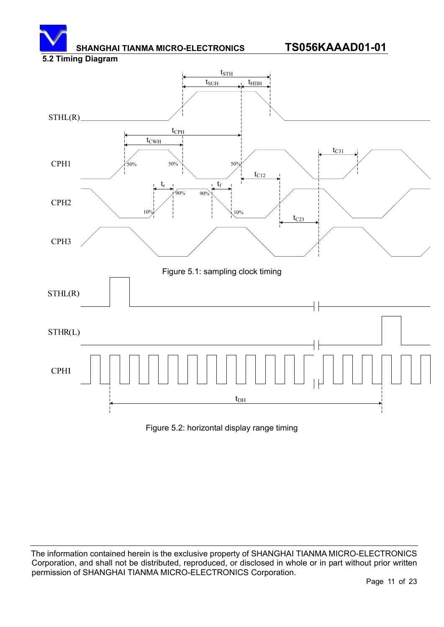#### **5.2 Timing Diagram**



Figure 5.2: horizontal display range timing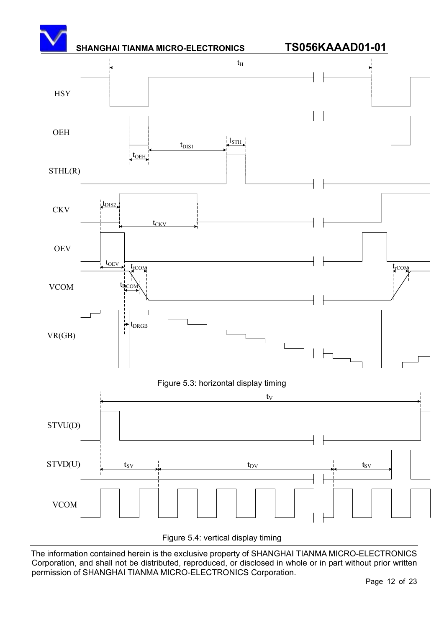

Figure 5.4: vertical display timing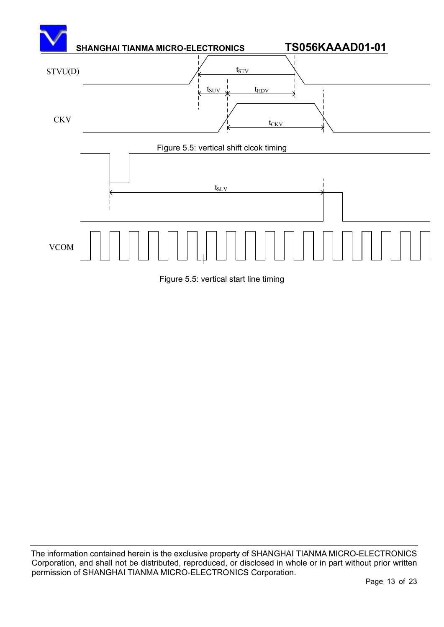

Figure 5.5: vertical start line timing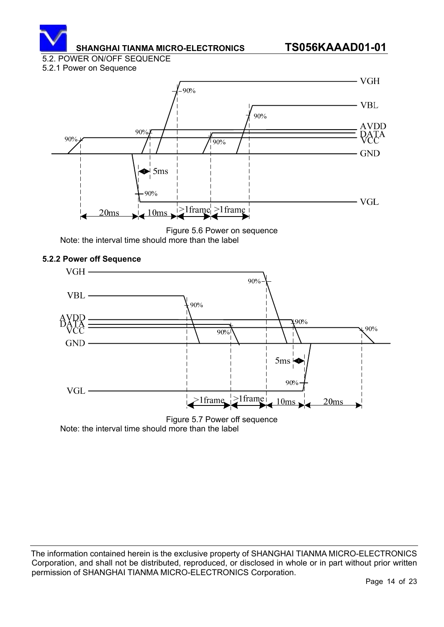

#### 5.2. POWER ON/OFF SEQUENCE

#### 5.2.1 Power on Sequence



Figure 5.6 Power on sequence Note: the interval time should more than the label

# **5.2.2 Power off Sequence**



Note: the interval time should more than the label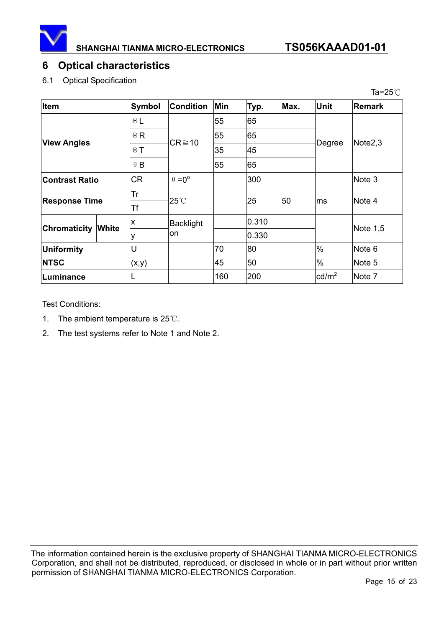

#### **6 Optical characteristics**

#### 6.1 Optical Specification

|                       |              |               |                        |     |       |      |                 | Ta=25 $\degree$ C |
|-----------------------|--------------|---------------|------------------------|-----|-------|------|-----------------|-------------------|
| <b>Item</b>           |              | <b>Symbol</b> | <b>Condition</b>       | Min | Typ.  | Max. | <b>Unit</b>     | <b>Remark</b>     |
| <b>View Angles</b>    |              | $\Theta$ L    | $CR \ge 10$            | 55  | 65    |      | Degree          | Note2,3           |
|                       |              | $\Theta$ R    |                        | 55  | 65    |      |                 |                   |
|                       |              | $\Theta$ T    |                        | 35  | 45    |      |                 |                   |
|                       |              | $\theta$ B    |                        | 55  | 65    |      |                 |                   |
| <b>Contrast Ratio</b> |              | <b>CR</b>     | $\theta = 0^{\circ}$   |     | 300   |      |                 | Note 3            |
| <b>Response Time</b>  |              | Tr            | $25^{\circ}$           |     | 25    | 50   | ms              | Note 4            |
|                       |              | <b>Tf</b>     |                        |     |       |      |                 |                   |
| <b>Chromaticity</b>   | <b>White</b> | X             | <b>Backlight</b><br>on |     | 0.310 |      |                 | Note 1,5          |
|                       |              |               |                        |     | 0.330 |      |                 |                   |
| Uniformity            |              | U             |                        | 70  | 80    |      | $\%$            | Note 6            |
| <b>NTSC</b>           |              | (x,y)         |                        | 45  | 50    |      | $\%$            | Note 5            |
| Luminance             |              |               |                        | 160 | 200   |      | $\text{cd/m}^2$ | Note 7            |

Test Conditions:

- 1. The ambient temperature is  $25^{\circ}$ C.
- 2. The test systems refer to Note 1 and Note 2.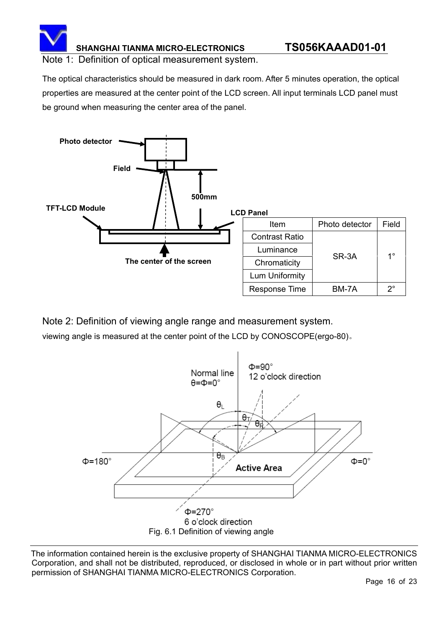

Note 1: Definition of optical measurement system.

The optical characteristics should be measured in dark room. After 5 minutes operation, the optical properties are measured at the center point of the LCD screen. All input terminals LCD panel must be ground when measuring the center area of the panel.



Note 2: Definition of viewing angle range and measurement system.

viewing angle is measured at the center point of the LCD by CONOSCOPE(ergo-80).

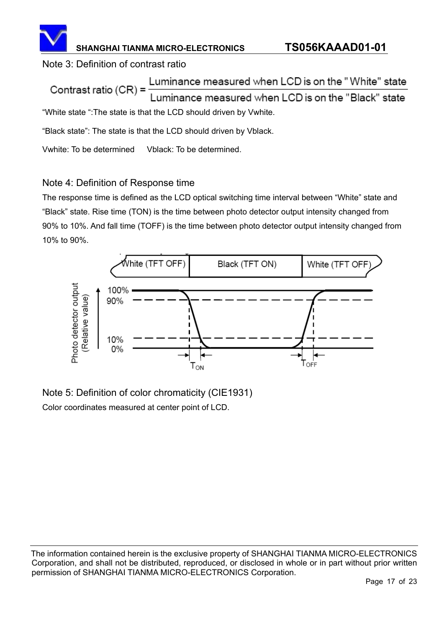

#### Note 3: Definition of contrast ratio

Luminance measured when LCD is on the "White" state Contrast ratio  $(CR)$  = uminance measured when LCD is on the "Black" state "White state ":The state is that the LCD should driven by Vwhite.

"Black state": The state is that the LCD should driven by Vblack.

Vwhite: To be determined Vblack: To be determined.

### Note 4: Definition of Response time

The response time is defined as the LCD optical switching time interval between "White" state and "Black" state. Rise time (TON) is the time between photo detector output intensity changed from 90% to 10%. And fall time (TOFF) is the time between photo detector output intensity changed from 10% to 90%.



Note 5: Definition of color chromaticity (CIE1931) Color coordinates measured at center point of LCD.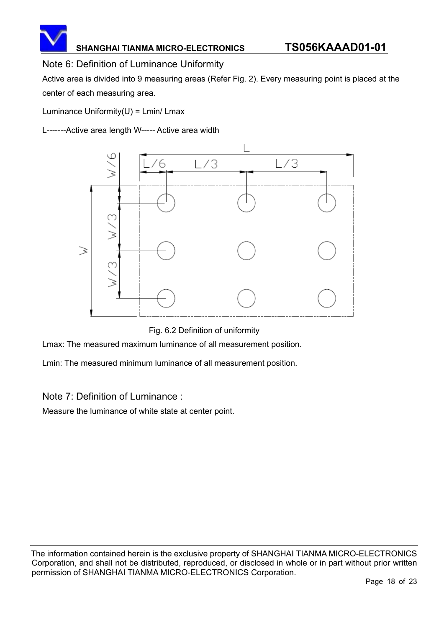

#### Note 6: Definition of Luminance Uniformity

Active area is divided into 9 measuring areas (Refer Fig. 2). Every measuring point is placed at the center of each measuring area.

Luminance  $Uniformity(U) = Lmin/Lmax$ 

L-------Active area length W----- Active area width



Fig. 6.2 Definition of uniformity

Lmax: The measured maximum luminance of all measurement position.

Lmin: The measured minimum luminance of all measurement position.

#### Note 7: Definition of Luminance :

Measure the luminance of white state at center point.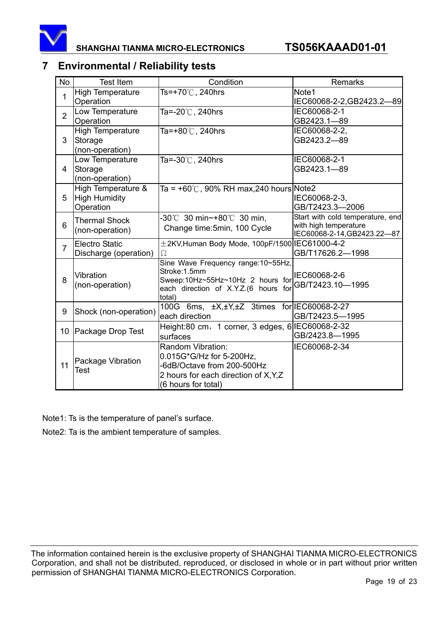

### **7 Environmental / Reliability tests**

| <b>No</b>      | <b>Test Item</b>        | Condition                                        | Remarks                                                   |
|----------------|-------------------------|--------------------------------------------------|-----------------------------------------------------------|
| 1              | <b>High Temperature</b> | Ts=+70℃, 240hrs                                  | Note1                                                     |
|                | Operation               |                                                  | IEC60068-2-2,GB2423.2-89                                  |
| $\overline{2}$ | Low Temperature         | Ta=-20 $\degree$ C, 240hrs                       | IEC60068-2-1                                              |
|                | Operation               |                                                  | GB2423.1-89                                               |
|                | <b>High Temperature</b> | Ta=+80 $\degree$ C, 240hrs                       | IEC60068-2-2,                                             |
| 3              | Storage                 |                                                  | GB2423.2-89                                               |
|                | (non-operation)         |                                                  |                                                           |
|                | Low Temperature         | Ta=-30 $\degree$ C, 240hrs                       | IEC60068-2-1                                              |
| 4              | Storage                 |                                                  | GB2423.1-89                                               |
|                | (non-operation)         |                                                  |                                                           |
|                | High Temperature &      | Ta = +60°C, 90% RH max,240 hours Note2           |                                                           |
| 5              | High Humidity           |                                                  | IEC60068-2-3,                                             |
|                | Operation               |                                                  | GB/T2423.3-2006                                           |
| $6\phantom{1}$ | <b>Thermal Shock</b>    | -30℃ 30 min~+80℃ 30 min,                         | Start with cold temperature, end<br>with high temperature |
|                | (non-operation)         | Change time: 5min, 100 Cycle                     | IEC60068-2-14, GB2423.22-87                               |
|                | Electro Static          | ±2KV, Human Body Mode, 100pF/1500 IEC61000-4-2   |                                                           |
| $\overline{7}$ | Discharge (operation)   | Ω                                                | GB/T17626.2-1998                                          |
|                |                         | Sine Wave Frequency range:10~55Hz,               |                                                           |
|                | Vibration               | Stroke:1.5mm                                     | IEC60068-2-6                                              |
| 8              | (non-operation)         | Sweep:10Hz~55Hz~10Hz 2 hours for                 | GB/T2423.10-1995                                          |
|                |                         | each direction of X.Y.Z.(6 hours for             |                                                           |
|                |                         | total)                                           | for IEC60068-2-27                                         |
| 9              | Shock (non-operation)   | 100G 6ms, ±X,±Y,±Z 3times<br>each direction      | GB/T2423.5-1995                                           |
|                |                         |                                                  |                                                           |
| 10             | Package Drop Test       | Height:80 cm, 1 corner, 3 edges, 6 IEC60068-2-32 | GB/2423.8-1995                                            |
|                |                         | surfaces                                         |                                                           |
| 11             |                         | Random Vibration:<br>0.015G*G/Hz for 5-200Hz,    | IEC60068-2-34                                             |
|                | Package Vibration       | -6dB/Octave from 200-500Hz                       |                                                           |
|                | Test                    | 2 hours for each direction of X,Y,Z              |                                                           |
|                |                         | (6 hours for total)                              |                                                           |
|                |                         |                                                  |                                                           |

Note1: Ts is the temperature of panel's surface.

Note2: Ta is the ambient temperature of samples.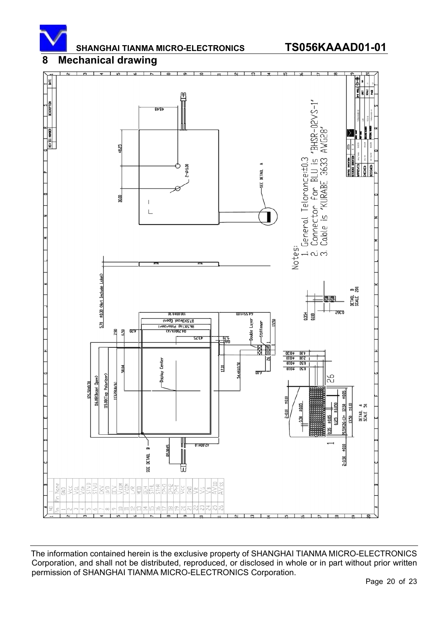

#### **8 Mechanical drawing**

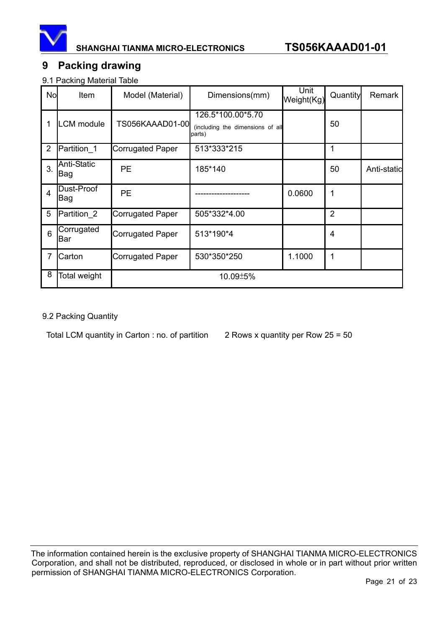

### **9 Packing drawing**

9.1 Packing Material Table

| No             | Item               | Model (Material)        | Dimensions(mm)                                                  | Unit<br>Weight(Kg) | Quantity       | Remark      |
|----------------|--------------------|-------------------------|-----------------------------------------------------------------|--------------------|----------------|-------------|
| 1              | LCM module         | TS056KAAAD01-00         | 126.5*100.00*5.70<br>(including the dimensions of all<br>parts) |                    | 50             |             |
| 2              | Partition_1        | <b>Corrugated Paper</b> | 513*333*215                                                     |                    | 1              |             |
| 3.             | Anti-Static<br>Bag | <b>PE</b>               | 185*140                                                         |                    | 50             | Anti-static |
| $\overline{4}$ | Dust-Proof<br>Bag  | <b>PE</b>               |                                                                 | 0.0600             | 1              |             |
| 5              | Partition 2        | <b>Corrugated Paper</b> | 505*332*4.00                                                    |                    | $\overline{2}$ |             |
| 6              | Corrugated<br>Bar  | <b>Corrugated Paper</b> | 513*190*4                                                       |                    | $\overline{4}$ |             |
| $\overline{7}$ | Carton             | <b>Corrugated Paper</b> | 530*350*250                                                     | 1.1000             | 1              |             |
| 8              | Total weight       |                         | 10.09±5%                                                        |                    |                |             |

#### 9.2 Packing Quantity

Total LCM quantity in Carton : no. of partition  $2$  Rows x quantity per Row 25 = 50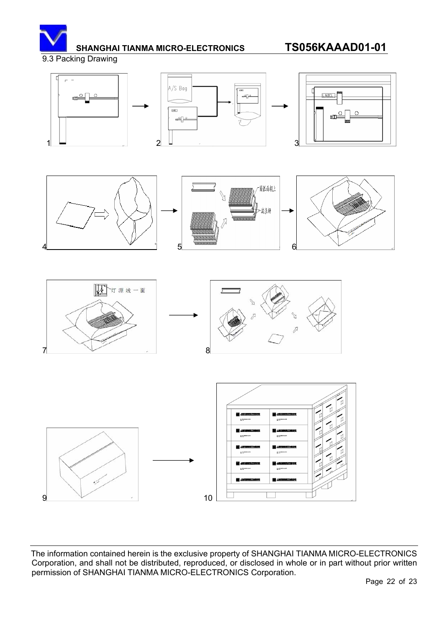

9.3 Packing Drawing